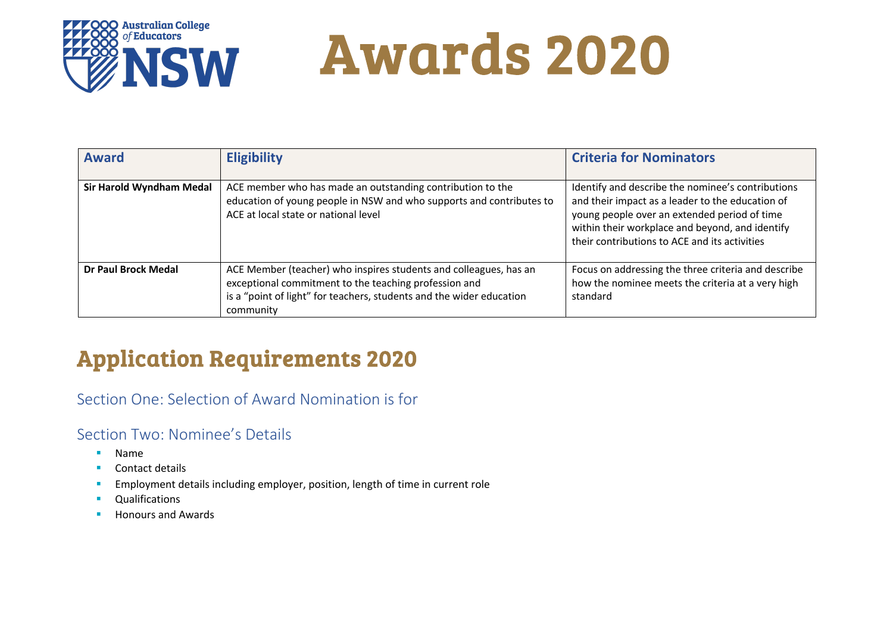

# Awards 2020

| <b>Award</b>               | <b>Eligibility</b>                                                                                                                                                                                              | <b>Criteria for Nominators</b>                                                                                                                                                                                                                            |
|----------------------------|-----------------------------------------------------------------------------------------------------------------------------------------------------------------------------------------------------------------|-----------------------------------------------------------------------------------------------------------------------------------------------------------------------------------------------------------------------------------------------------------|
| Sir Harold Wyndham Medal   | ACE member who has made an outstanding contribution to the<br>education of young people in NSW and who supports and contributes to<br>ACE at local state or national level                                      | Identify and describe the nominee's contributions<br>and their impact as a leader to the education of<br>young people over an extended period of time<br>within their workplace and beyond, and identify<br>their contributions to ACE and its activities |
| <b>Dr Paul Brock Medal</b> | ACE Member (teacher) who inspires students and colleagues, has an<br>exceptional commitment to the teaching profession and<br>is a "point of light" for teachers, students and the wider education<br>community | Focus on addressing the three criteria and describe<br>how the nominee meets the criteria at a very high<br>standard                                                                                                                                      |

### Application Requirements 2020

Section One: Selection of Award Nomination is for

### Section Two: Nominee's Details

- § Name
- Contact details
- **Employment details including employer, position, length of time in current role**
- Qualifications
- Honours and Awards